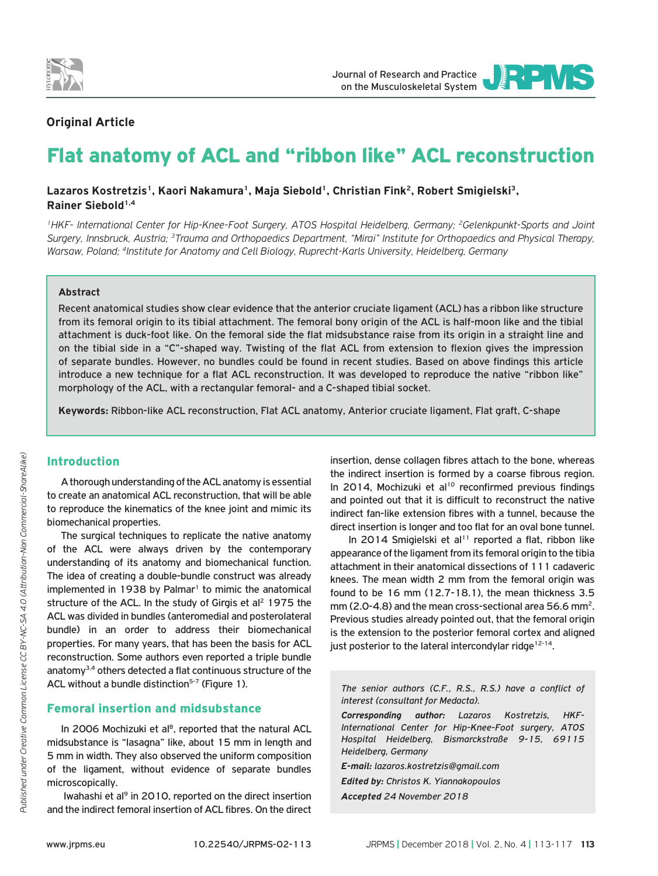

# **Οriginal Article**

# Flat anatomy of ACL and "ribbon like" ACL reconstruction

## Lazaros Kostretzis<sup>1</sup>, Kaori Nakamura<sup>1</sup>, Maja Siebold<sup>1</sup>, Christian Fink<sup>2</sup>, Robert Smigielski<sup>3</sup>, **Rainer Siebold1,4**

*1HKF- International Center for Hip-Knee-Foot Surgery, ATOS Hospital Heidelberg, Germany; 2Gelenkpunkt-Sports and Joint Surgery, Innsbruck, Austria; 3Trauma and Orthopaedics Department, "Mirai" Institute for Orthopaedics and Physical Therapy, Warsaw, Poland; 4Institute for Anatomy and Cell Biology, Ruprecht-Karls University, Heidelberg, Germany*

#### **Abstract**

Recent anatomical studies show clear evidence that the anterior cruciate ligament (ACL) has a ribbon like structure from its femoral origin to its tibial attachment. The femoral bony origin of the ACL is half-moon like and the tibial attachment is duck-foot like. On the femoral side the flat midsubstance raise from its origin in a straight line and on the tibial side in a "C"-shaped way. Twisting of the flat ACL from extension to flexion gives the impression of separate bundles. However, no bundles could be found in recent studies. Based on above findings this article introduce a new technique for a flat ACL reconstruction. It was developed to reproduce the native "ribbon like" morphology of the ACL, with a rectangular femoral- and a C-shaped tibial socket.

**Keywords:** Ribbon-like ACL reconstruction, Flat ACL anatomy, Anterior cruciate ligament, Flat graft, C-shape

#### Introduction

A thorough understanding of the ACL anatomy is essential to create an anatomical ACL reconstruction, that will be able to reproduce the kinematics of the knee joint and mimic its biomechanical properties.

The surgical techniques to replicate the native anatomy of the ACL were always driven by the contemporary understanding of its anatomy and biomechanical function. The idea of creating a double-bundle construct was already  $implemented$  in 1938 by Palmar<sup>1</sup> to mimic the anatomical structure of the ACL. In the study of Girgis et al<sup>2</sup> 1975 the ACL was divided in bundles (anteromedial and posterolateral bundle) in an order to address their biomechanical properties. For many years, that has been the basis for ACL reconstruction. Some authors even reported a triple bundle anatomy3,4 others detected a flat continuous structure of the ACL without a bundle distinction<sup>5-7</sup> (Figure 1).

## Femoral insertion and midsubstance

In 2006 Mochizuki et al<sup>8</sup>, reported that the natural ACL midsubstance is "lasagna" like, about 15 mm in length and 5 mm in width. They also observed the uniform composition of the ligament, without evidence of separate bundles microscopically.

Iwahashi et al<sup>9</sup> in 2010, reported on the direct insertion and the indirect femoral insertion of ACL fibres. On the direct

insertion, dense collagen fibres attach to the bone, whereas the indirect insertion is formed by a coarse fibrous region. In 2014, Mochizuki et al<sup>10</sup> reconfirmed previous findings and pointed out that it is difficult to reconstruct the native indirect fan-like extension fibres with a tunnel, because the direct insertion is longer and too flat for an oval bone tunnel.

In 2014 Smigielski et al<sup>11</sup> reported a flat, ribbon like appearance of the ligament from its femoral origin to the tibia attachment in their anatomical dissections of 111 cadaveric knees. The mean width 2 mm from the femoral origin was found to be 16 mm (12.7-18.1), the mean thickness 3.5 mm (2.0-4.8) and the mean cross-sectional area 56.6 mm2. Previous studies already pointed out, that the femoral origin is the extension to the posterior femoral cortex and aligned just posterior to the lateral intercondylar ridge<sup>12-14</sup>.

*The senior authors (C.F., R.S., R.S.) have a conflict of interest (consultant for Medacta).*

*Corresponding author: Lazaros Kostretzis, HKF-International Center for Hip-Knee-Foot surgery, ATOS Hospital Heidelberg, Bismarckstraße 9-15, 69115 Heidelberg, Germany*

*E-mail: lazaros.kostretzis@gmail.com*

*Edited by: Christos K. Yiannakopoulos*

*Accepted 24 November 2018*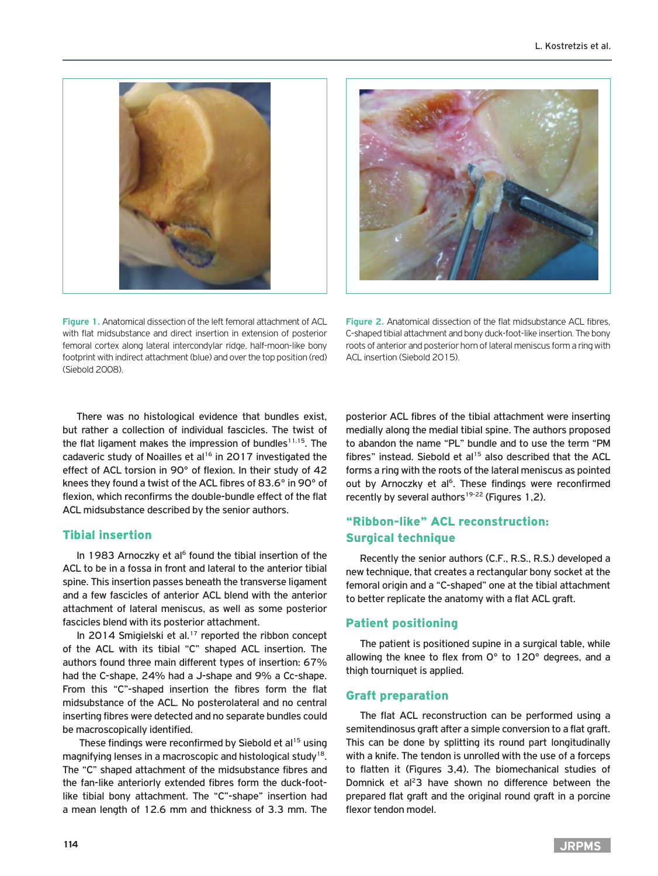



**Figure 1.** Anatomical dissection of the left femoral attachment of ACL with flat midsubstance and direct insertion in extension of posterior femoral cortex along lateral intercondylar ridge, half-moon-like bony footprint with indirect attachment (blue) and over the top position (red) (Siebold 2008).

**Figure 2.** Anatomical dissection of the flat midsubstance ACL fibres, C-shaped tibial attachment and bony duck-foot-like insertion. The bony roots of anterior and posterior horn of lateral meniscus form a ring with ACL insertion (Siebold 2015).

There was no histological evidence that bundles exist, but rather a collection of individual fascicles. The twist of the flat ligament makes the impression of bundles<sup>11,15</sup>. The cadaveric study of Noailles et al<sup>16</sup> in 2017 investigated the effect of ACL torsion in 90° of flexion. In their study of 42 knees they found a twist of the ACL fibres of 83.6° in 90° of flexion, which reconfirms the double-bundle effect of the flat ACL midsubstance described by the senior authors.

## Tibial insertion

In 1983 Arnoczky et al<sup> $6$ </sup> found the tibial insertion of the ACL to be in a fossa in front and lateral to the anterior tibial spine. This insertion passes beneath the transverse ligament and a few fascicles of anterior ACL blend with the anterior attachment of lateral meniscus, as well as some posterior fascicles blend with its posterior attachment.

In 2014 Smigielski et al.<sup>17</sup> reported the ribbon concept of the ACL with its tibial "C" shaped ACL insertion. The authors found three main different types of insertion: 67% had the C-shape, 24% had a J-shape and 9% a Cc-shape. From this "C"-shaped insertion the fibres form the flat midsubstance of the ACL. No posterolateral and no central inserting fibres were detected and no separate bundles could be macroscopically identified.

These findings were reconfirmed by Siebold et al<sup>15</sup> using magnifying lenses in a macroscopic and histological study<sup>18</sup>. The "C" shaped attachment of the midsubstance fibres and the fan-like anteriorly extended fibres form the duck-footlike tibial bony attachment. The "C"-shape" insertion had a mean length of 12.6 mm and thickness of 3.3 mm. The

posterior ACL fibres of the tibial attachment were inserting medially along the medial tibial spine. The authors proposed to abandon the name "PL" bundle and to use the term "PM fibres" instead. Siebold et al<sup>15</sup> also described that the ACL forms a ring with the roots of the lateral meniscus as pointed out by Arnoczky et al<sup>6</sup>. These findings were reconfirmed recently by several authors<sup>19-22</sup> (Figures 1,2).

# "Ribbon-like" ACL reconstruction: Surgical technique

Recently the senior authors (C.F., R.S., R.S.) developed a new technique, that creates a rectangular bony socket at the femoral origin and a "C-shaped" one at the tibial attachment to better replicate the anatomy with a flat ACL graft.

## Patient positioning

The patient is positioned supine in a surgical table, while allowing the knee to flex from 0° to 120° degrees, and a thigh tourniquet is applied.

#### Graft preparation

The flat ACL reconstruction can be performed using a semitendinosus graft after a simple conversion to a flat graft. This can be done by splitting its round part longitudinally with a knife. The tendon is unrolled with the use of a forceps to flatten it (Figures 3,4). The biomechanical studies of Domnick et al<sup>2</sup>3 have shown no difference between the prepared flat graft and the original round graft in a porcine flexor tendon model.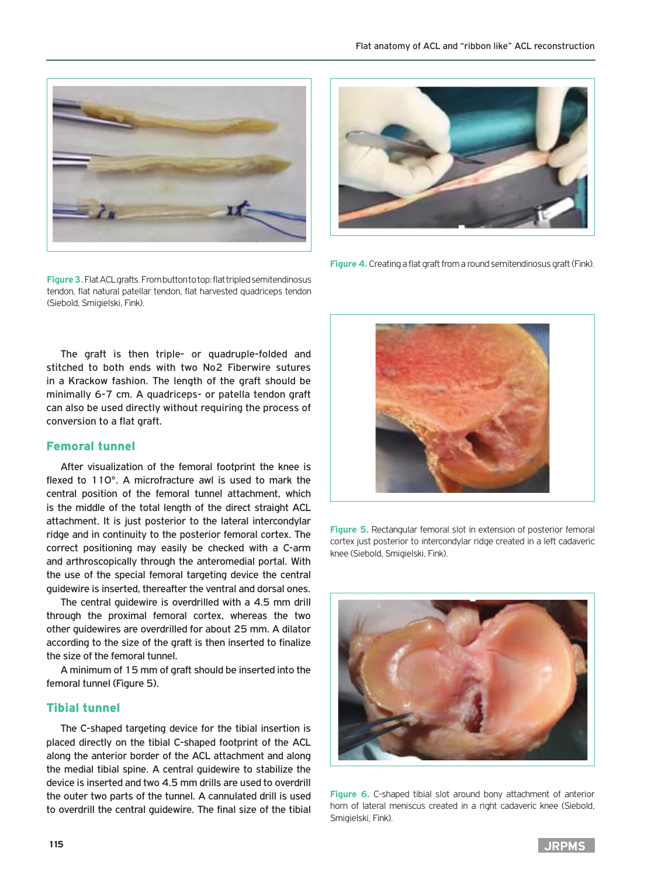

**Figure 3.** Flat ACL grafts. From button to top: flat tripled semitendinosus tendon, flat natural patellar tendon, flat harvested quadriceps tendon (Siebold, Smigielski, Fink).



**Figure 4.** Creating a flat graft from a round semitendinosus graft (Fink).

The graft is then triple- or quadruple-folded and stitched to both ends with two No2 Fiberwire sutures in a Krackow fashion. The length of the graft should be minimally 6-7 cm. A quadriceps- or patella tendon graft can also be used directly without requiring the process of conversion to a flat graft.

#### Femoral tunnel

After visualization of the femoral footprint the knee is flexed to 110°. A microfracture awl is used to mark the central position of the femoral tunnel attachment, which is the middle of the total length of the direct straight ACL attachment. It is just posterior to the lateral intercondylar ridge and in continuity to the posterior femoral cortex. The correct positioning may easily be checked with a C-arm and arthroscopically through the anteromedial portal. With the use of the special femoral targeting device the central guidewire is inserted, thereafter the ventral and dorsal ones.

The central guidewire is overdrilled with a 4.5 mm drill through the proximal femoral cortex, whereas the two other guidewires are overdrilled for about 25 mm. A dilator according to the size of the graft is then inserted to finalize the size of the femoral tunnel.

A minimum of 15 mm of graft should be inserted into the femoral tunnel (Figure 5).

#### Tibial tunnel

The C-shaped targeting device for the tibial insertion is placed directly on the tibial C-shaped footprint of the ACL along the anterior border of the ACL attachment and along the medial tibial spine. A central guidewire to stabilize the device is inserted and two 4.5 mm drills are used to overdrill the outer two parts of the tunnel. A cannulated drill is used to overdrill the central guidewire. The final size of the tibial



**Figure 5.** Rectangular femoral slot in extension of posterior femoral cortex just posterior to intercondylar ridge created in a left cadaveric knee (Siebold, Smigielski, Fink).



**Figure 6.** C-shaped tibial slot around bony attachment of anterior horn of lateral meniscus created in a right cadaveric knee (Siebold, Smigielski, Fink).

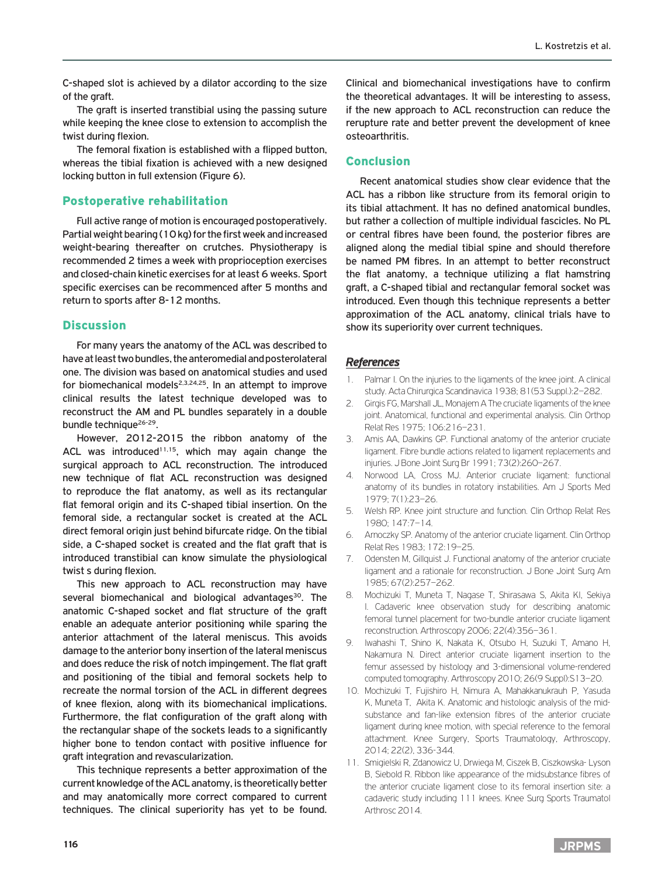C-shaped slot is achieved by a dilator according to the size of the graft.

The graft is inserted transtibial using the passing suture while keeping the knee close to extension to accomplish the twist during flexion.

The femoral fixation is established with a flipped button, whereas the tibial fixation is achieved with a new designed locking button in full extension (Figure 6).

#### Postoperative rehabilitation

Full active range of motion is encouraged postoperatively. Partial weight bearing (10 kg) for the first week and increased weight-bearing thereafter on crutches. Physiotherapy is recommended 2 times a week with proprioception exercises and closed-chain kinetic exercises for at least 6 weeks. Sport specific exercises can be recommenced after 5 months and return to sports after 8-12 months.

#### **Discussion**

For many years the anatomy of the ACL was described to have at least two bundles, the anteromedial and posterolateral one. The division was based on anatomical studies and used for biomechanical models<sup>2,3,24,25</sup>. In an attempt to improve clinical results the latest technique developed was to reconstruct the AM and PL bundles separately in a double bundle technique<sup>26-29</sup>.

However, 2012-2015 the ribbon anatomy of the ACL was introduced<sup>11,15</sup>, which may again change the surgical approach to ACL reconstruction. The introduced new technique of flat ACL reconstruction was designed to reproduce the flat anatomy, as well as its rectangular flat femoral origin and its C-shaped tibial insertion. On the femoral side, a rectangular socket is created at the ACL direct femoral origin just behind bifurcate ridge. On the tibial side, a C-shaped socket is created and the flat graft that is introduced transtibial can know simulate the physiological twist s during flexion.

This new approach to ACL reconstruction may have several biomechanical and biological advantages<sup>30</sup>. The anatomic C-shaped socket and flat structure of the graft enable an adequate anterior positioning while sparing the anterior attachment of the lateral meniscus. This avoids damage to the anterior bony insertion of the lateral meniscus and does reduce the risk of notch impingement. The flat graft and positioning of the tibial and femoral sockets help to recreate the normal torsion of the ACL in different degrees of knee flexion, along with its biomechanical implications. Furthermore, the flat configuration of the graft along with the rectangular shape of the sockets leads to a significantly higher bone to tendon contact with positive influence for graft integration and revascularization.

This technique represents a better approximation of the current knowledge of the ACL anatomy, is theoretically better and may anatomically more correct compared to current techniques. The clinical superiority has yet to be found.

Clinical and biomechanical investigations have to confirm the theoretical advantages. It will be interesting to assess, if the new approach to ACL reconstruction can reduce the rerupture rate and better prevent the development of knee osteoarthritis.

#### Conclusion

Recent anatomical studies show clear evidence that the ACL has a ribbon like structure from its femoral origin to its tibial attachment. It has no defined anatomical bundles, but rather a collection of multiple individual fascicles. No PL or central fibres have been found, the posterior fibres are aligned along the medial tibial spine and should therefore be named PM fibres. In an attempt to better reconstruct the flat anatomy, a technique utilizing a flat hamstring graft, a C-shaped tibial and rectangular femoral socket was introduced. Even though this technique represents a better approximation of the ACL anatomy, clinical trials have to show its superiority over current techniques.

#### *References*

- 1. Palmar I. On the injuries to the ligaments of the knee joint. A clinical study. Acta Chirurgica Scandinavica 1938; 81(53 Suppl.):2–282.
- 2. Girgis FG, Marshall JL, Monajem A The cruciate ligaments of the knee joint. Anatomical, functional and experimental analysis. Clin Orthop Relat Res 1975; 106:216–231.
- 3. Amis AA, Dawkins GP. Functional anatomy of the anterior cruciate ligament. Fibre bundle actions related to ligament replacements and injuries. J Bone Joint Surg Br 1991; 73(2):260–267.
- 4. Norwood LA, Cross MJ. Anterior cruciate ligament: functional anatomy of its bundles in rotatory instabilities. Am J Sports Med 1979; 7(1):23–26.
- 5. Welsh RP. Knee joint structure and function. Clin Orthop Relat Res 1980; 147:7–14.
- 6. Arnoczky SP. Anatomy of the anterior cruciate ligament. Clin Orthop Relat Res 1983; 172:19–25.
- 7. Odensten M, Gillquist J. Functional anatomy of the anterior cruciate ligament and a rationale for reconstruction. J Bone Joint Surg Am 1985; 67(2):257–262.
- 8. Mochizuki T, Muneta T, Nagase T, Shirasawa S, Akita KI, Sekiya I. Cadaveric knee observation study for describing anatomic femoral tunnel placement for two-bundle anterior cruciate ligament reconstruction. Arthroscopy 2006; 22(4):356–361.
- 9. Iwahashi T, Shino K, Nakata K, Otsubo H, Suzuki T, Amano H, Nakamura N. Direct anterior cruciate ligament insertion to the femur assessed by histology and 3-dimensional volume-rendered computed tomography. Arthroscopy 2010; 26(9 Suppl):S13–20.
- 10. Mochizuki T, Fujishiro H, Nimura A, Mahakkanukrauh P, Yasuda K, Muneta T, Akita K. Anatomic and histologic analysis of the midsubstance and fan-like extension fibres of the anterior cruciate ligament during knee motion, with special reference to the femoral attachment. Knee Surgery, Sports Traumatology, Arthroscopy, 2014; 22(2), 336-344.
- 11. Smigielski R, Zdanowicz U, Drwiega M, Ciszek B, Ciszkowska- Lyson B, Siebold R. Ribbon like appearance of the midsubstance fibres of the anterior cruciate ligament close to its femoral insertion site: a cadaveric study including 111 knees. Knee Surg Sports Traumatol Arthrosc 2014.